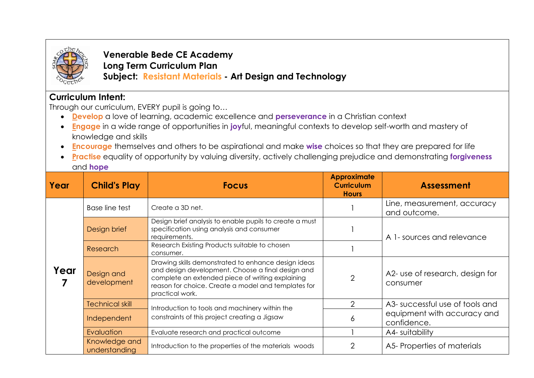

**Venerable Bede CE Academy Long Term Curriculum Plan Subject: Resistant Materials - Art Design and Technology**

## **Curriculum Intent:**

Through our curriculum, EVERY pupil is going to…

- **Develop** a love of learning, academic excellence and **perseverance** in a Christian context
- **Engage** in a wide range of opportunities in **joy**ful, meaningful contexts to develop self-worth and mastery of knowledge and skills
- **Encourag***e* themselves and others to be aspirational and make **wise** choices so that they are prepared for life
- **Practise** equality of opportunity by valuing diversity, actively challenging prejudice and demonstrating **forgiveness** and **hope**

| Year | <b>Child's Play</b>            | <b>Focus</b>                                                                                                                                                                                                                           | <b>Approximate</b><br><b>Curriculum</b><br><b>Hours</b> | <b>Assessment</b>                           |
|------|--------------------------------|----------------------------------------------------------------------------------------------------------------------------------------------------------------------------------------------------------------------------------------|---------------------------------------------------------|---------------------------------------------|
| Year | Base line test                 | Create a 3D net.                                                                                                                                                                                                                       |                                                         | Line, measurement, accuracy<br>and outcome. |
|      | Design brief                   | Design brief analysis to enable pupils to create a must<br>specification using analysis and consumer<br>requirements.                                                                                                                  |                                                         | A 1- sources and relevance                  |
|      | Research                       | Research Existing Products suitable to chosen<br>consumer.                                                                                                                                                                             |                                                         |                                             |
|      | Design and<br>development      | Drawing skills demonstrated to enhance design ideas<br>and design development. Choose a final design and<br>complete an extended piece of writing explaining<br>reason for choice. Create a model and templates for<br>practical work. | $\mathfrak{D}$                                          | A2- use of research, design for<br>consumer |
|      | <b>Technical skill</b>         | Introduction to tools and machinery within the<br>constraints of this project creating a Jigsaw                                                                                                                                        |                                                         | A3- successful use of tools and             |
|      | Independent                    |                                                                                                                                                                                                                                        | 6                                                       | equipment with accuracy and<br>confidence.  |
|      | Evaluation                     | Evaluate research and practical outcome                                                                                                                                                                                                |                                                         | A4- suitability                             |
|      | Knowledge and<br>understanding | Introduction to the properties of the materials woods                                                                                                                                                                                  |                                                         | A5-Properties of materials                  |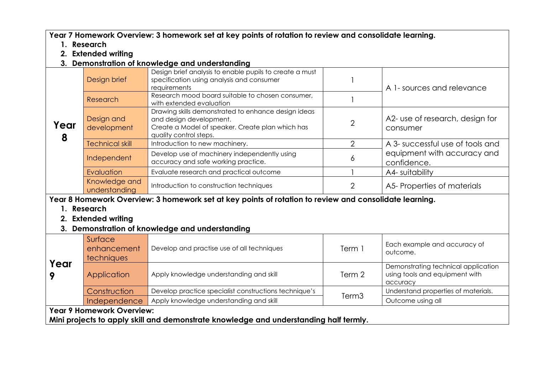**Year 7 Homework Overview: 3 homework set at key points of rotation to review and consolidate learning.** 

- **1. Research**
- **2. Extended writing**
- **3. Demonstration of knowledge and understanding**

|                                                                                                        | Design brief                   | Design brief analysis to enable pupils to create a must<br>specification using analysis and consumer<br>requirements                                         |   | A 1- sources and relevance                                                     |
|--------------------------------------------------------------------------------------------------------|--------------------------------|--------------------------------------------------------------------------------------------------------------------------------------------------------------|---|--------------------------------------------------------------------------------|
| Year<br>8                                                                                              | Research                       | Research mood board suitable to chosen consumer,<br>with extended evaluation                                                                                 |   |                                                                                |
|                                                                                                        | Design and<br>development      | Drawing skills demonstrated to enhance design ideas<br>and design development.<br>Create a Model of speaker. Create plan which has<br>quality control steps. |   | A2- use of research, design for<br>consumer                                    |
|                                                                                                        | <b>Technical skill</b>         | Introduction to new machinery.                                                                                                                               |   | A 3- successful use of tools and<br>equipment with accuracy and<br>confidence. |
|                                                                                                        | Independent                    | Develop use of machinery independently using<br>accuracy and safe working practice.                                                                          | O |                                                                                |
|                                                                                                        | Evaluation                     | Evaluate research and practical outcome                                                                                                                      |   | A4- suitability                                                                |
|                                                                                                        | Knowledge and<br>understanding | Introduction to construction techniques                                                                                                                      |   | A5-Properties of materials                                                     |
| Year 8 Homework Overview: 3 homework set at key points of rotation to review and consolidate learning. |                                |                                                                                                                                                              |   |                                                                                |
| 1. Research                                                                                            |                                |                                                                                                                                                              |   |                                                                                |

- **2. Extended writing**
- **3. Demonstration of knowledge and understanding**

| Year                      | Surface<br>enhancement<br>techniques | Develop and practise use of all techniques            | Term 1 | Each example and accuracy of<br>outcome.                                          |
|---------------------------|--------------------------------------|-------------------------------------------------------|--------|-----------------------------------------------------------------------------------|
|                           | Application                          | Apply knowledge understanding and skill               | Term 2 | Demonstrating technical application<br>using tools and equipment with<br>accuracy |
|                           | Construction                         | Develop practice specialist constructions technique's | Term3  | Understand properties of materials.                                               |
|                           | Independence                         | Apply knowledge understanding and skill               |        | Outcome using all                                                                 |
| Year 9 Homework Overview: |                                      |                                                       |        |                                                                                   |

**Mini projects to apply skill and demonstrate knowledge and understanding half termly.**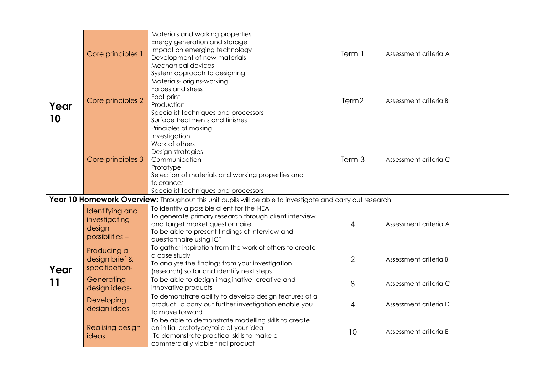| Year<br>10 | Core principles 1                                             | Materials and working properties<br>Energy generation and storage<br>Impact on emerging technology<br>Development of new materials<br><b>Mechanical devices</b><br>System approach to designing                       | Term 1            | Assessment criteria A |
|------------|---------------------------------------------------------------|-----------------------------------------------------------------------------------------------------------------------------------------------------------------------------------------------------------------------|-------------------|-----------------------|
|            | Core principles 2                                             | Materials- origins-working<br>Forces and stress<br>Foot print<br>Production<br>Specialist techniques and processors<br>Surface treatments and finishes                                                                | Term <sub>2</sub> | Assessment criteria B |
|            | Core principles 3                                             | Principles of making<br>Investigation<br>Work of others<br>Design strategies<br>Communication<br>Prototype<br>Selection of materials and working properties and<br>tolerances<br>Specialist techniques and processors | Term 3            | Assessment criteria C |
|            |                                                               | Year 10 Homework Overview: Throughout this unit pupils will be able to investigate and carry out research                                                                                                             |                   |                       |
| Year<br>11 | Identifying and<br>investigating<br>design<br>possibilities - | To identify a possible client for the NEA<br>To generate primary research through client interview<br>and target market questionnaire<br>To be able to present findings of interview and<br>questionnaire using ICT   | 4                 | Assessment criteria A |
|            | Producing a<br>design brief &<br>specification-               | To gather inspiration from the work of others to create<br>a case study<br>To analyse the findings from your investigation<br>(research) so far and identify next steps                                               | $\overline{2}$    | Assessment criteria B |
|            | Generating<br>design ideas-                                   | To be able to design imaginative, creative and<br>innovative products                                                                                                                                                 | 8                 | Assessment criteria C |
|            | Developing<br>design ideas                                    | To demonstrate ability to develop design features of a<br>product To carry out further investigation enable you<br>to move forward                                                                                    | 4                 | Assessment criteria D |
|            | Realising design<br>ideas                                     | To be able to demonstrate modelling skills to create<br>an initial prototype/toile of your idea<br>To demonstrate practical skills to make a<br>commercially viable final product                                     | 10                | Assessment criteria E |